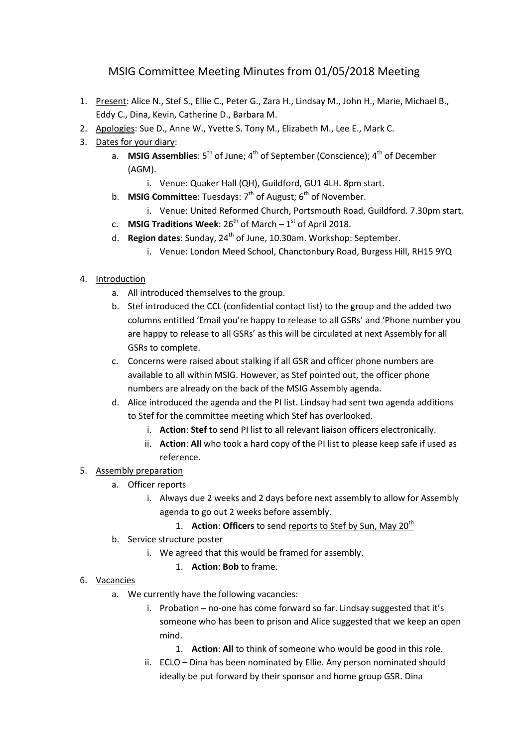## MSIG Committee Meeting Minutes from 01/05/2018 Meeting

- 1. Present: Alice N., Stef S., Ellie C., Peter G., Zara H., Lindsay M., John H., Marie, Michael B., Eddy C., Dina, Kevin, Catherine D., Barbara M.
- 2. Apologies: Sue D., Anne W., Yvette S. Tony M., Elizabeth M., Lee E., Mark C.
- 3. Dates for your diary:
	- a. **MSIG Assemblies**: 5<sup>th</sup> of June; 4<sup>th</sup> of September (Conscience); 4<sup>th</sup> of December (AGM).
		- i. Venue: Quaker Hall (QH), Guildford, GU1 4LH. 8pm start.
	- b. **MSIG Committee**: Tuesdays: 7<sup>th</sup> of August; 6<sup>th</sup> of November.
		- i. Venue: United Reformed Church, Portsmouth Road, Guildford. 7.30pm start.
	- c. **MSIG Traditions Week**:  $26<sup>th</sup>$  of March  $-1<sup>st</sup>$  of April 2018.
	- d. **Region dates**: Sunday, 24th of June, 10.30am. Workshop: September.
		- i. Venue: London Meed School, Chanctonbury Road, Burgess Hill, RH15 9YQ
- 4. Introduction
	- a. All introduced themselves to the group.
	- b. Stef introduced the CCL (confidential contact list) to the group and the added two columns entitled 'Email you're happy to release to all GSRs' and 'Phone number you are happy to release to all GSRs' as this will be circulated at next Assembly for all GSRs to complete.
	- c. Concerns were raised about stalking if all GSR and officer phone numbers are available to all within MSIG. However, as Stef pointed out, the officer phone numbers are already on the back of the MSIG Assembly agenda.
	- d. Alice introduced the agenda and the PI list. Lindsay had sent two agenda additions to Stef for the committee meeting which Stef has overlooked.
		- i. **Action**: **Stef** to send PI list to all relevant liaison officers electronically.
		- ii. **Action**: **All** who took a hard copy of the PI list to please keep safe if used as reference.

## 5. Assembly preparation

- a. Officer reports
	- i. Always due 2 weeks and 2 days before next assembly to allow for Assembly agenda to go out 2 weeks before assembly.

## 1. **Action: Officers** to send reports to Stef by Sun, May 20<sup>th</sup>

- b. Service structure poster
	- i. We agreed that this would be framed for assembly.
		- 1. **Action**: **Bob** to frame.

## 6. Vacancies

- a. We currently have the following vacancies:
	- i. Probation no-one has come forward so far. Lindsay suggested that it's someone who has been to prison and Alice suggested that we keep an open mind.
		- 1. **Action**: **All** to think of someone who would be good in this role.
	- ii. ECLO Dina has been nominated by Ellie. Any person nominated should ideally be put forward by their sponsor and home group GSR. Dina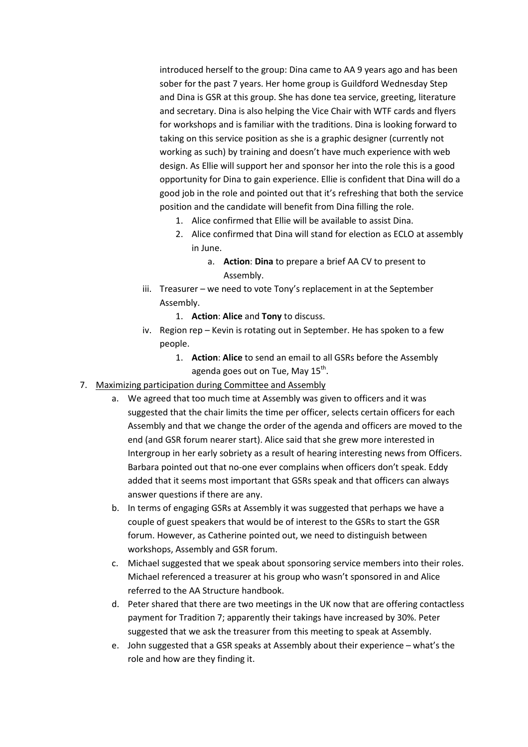introduced herself to the group: Dina came to AA 9 years ago and has been sober for the past 7 years. Her home group is Guildford Wednesday Step and Dina is GSR at this group. She has done tea service, greeting, literature and secretary. Dina is also helping the Vice Chair with WTF cards and flyers for workshops and is familiar with the traditions. Dina is looking forward to taking on this service position as she is a graphic designer (currently not working as such) by training and doesn't have much experience with web design. As Ellie will support her and sponsor her into the role this is a good opportunity for Dina to gain experience. Ellie is confident that Dina will do a good job in the role and pointed out that it's refreshing that both the service position and the candidate will benefit from Dina filling the role.

- 1. Alice confirmed that Ellie will be available to assist Dina.
- 2. Alice confirmed that Dina will stand for election as ECLO at assembly in June.
	- a. **Action**: **Dina** to prepare a brief AA CV to present to Assembly.
- iii. Treasurer we need to vote Tony's replacement in at the September Assembly.
	- 1. **Action**: **Alice** and **Tony** to discuss.
- iv. Region rep Kevin is rotating out in September. He has spoken to a few people.
	- 1. **Action**: **Alice** to send an email to all GSRs before the Assembly agenda goes out on Tue, May 15 $^{\text{th}}$ .
- 7. Maximizing participation during Committee and Assembly
	- a. We agreed that too much time at Assembly was given to officers and it was suggested that the chair limits the time per officer, selects certain officers for each Assembly and that we change the order of the agenda and officers are moved to the end (and GSR forum nearer start). Alice said that she grew more interested in Intergroup in her early sobriety as a result of hearing interesting news from Officers. Barbara pointed out that no-one ever complains when officers don't speak. Eddy added that it seems most important that GSRs speak and that officers can always answer questions if there are any.
	- b. In terms of engaging GSRs at Assembly it was suggested that perhaps we have a couple of guest speakers that would be of interest to the GSRs to start the GSR forum. However, as Catherine pointed out, we need to distinguish between workshops, Assembly and GSR forum.
	- c. Michael suggested that we speak about sponsoring service members into their roles. Michael referenced a treasurer at his group who wasn't sponsored in and Alice referred to the AA Structure handbook.
	- d. Peter shared that there are two meetings in the UK now that are offering contactless payment for Tradition 7; apparently their takings have increased by 30%. Peter suggested that we ask the treasurer from this meeting to speak at Assembly.
	- e. John suggested that a GSR speaks at Assembly about their experience what's the role and how are they finding it.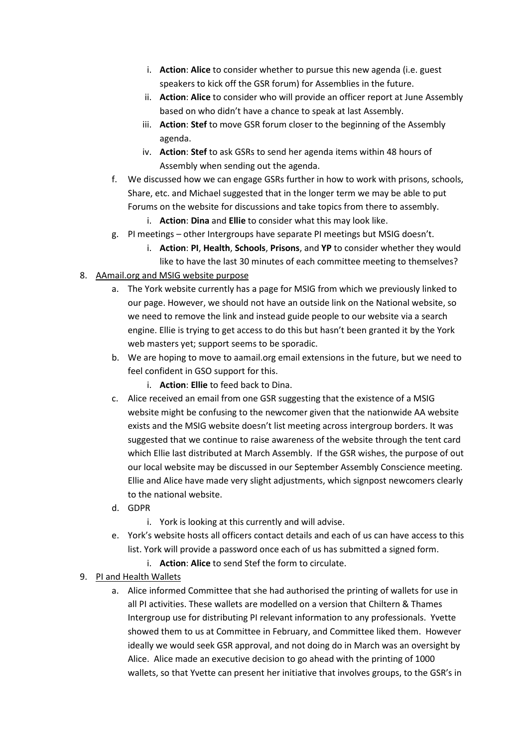- i. **Action**: **Alice** to consider whether to pursue this new agenda (i.e. guest speakers to kick off the GSR forum) for Assemblies in the future.
- ii. **Action**: **Alice** to consider who will provide an officer report at June Assembly based on who didn't have a chance to speak at last Assembly.
- iii. **Action**: **Stef** to move GSR forum closer to the beginning of the Assembly agenda.
- iv. **Action**: **Stef** to ask GSRs to send her agenda items within 48 hours of Assembly when sending out the agenda.
- f. We discussed how we can engage GSRs further in how to work with prisons, schools, Share, etc. and Michael suggested that in the longer term we may be able to put Forums on the website for discussions and take topics from there to assembly.
	- i. **Action**: **Dina** and **Ellie** to consider what this may look like.
- g. PI meetings other Intergroups have separate PI meetings but MSIG doesn't.
	- i. **Action**: **PI**, **Health**, **Schools**, **Prisons**, and **YP** to consider whether they would like to have the last 30 minutes of each committee meeting to themselves?
- 8. AAmail.org and MSIG website purpose
	- a. The York website currently has a page for MSIG from which we previously linked to our page. However, we should not have an outside link on the National website, so we need to remove the link and instead guide people to our website via a search engine. Ellie is trying to get access to do this but hasn't been granted it by the York web masters yet; support seems to be sporadic.
	- b. We are hoping to move to aamail.org email extensions in the future, but we need to feel confident in GSO support for this.
		- i. **Action**: **Ellie** to feed back to Dina.
	- c. Alice received an email from one GSR suggesting that the existence of a MSIG website might be confusing to the newcomer given that the nationwide AA website exists and the MSIG website doesn't list meeting across intergroup borders. It was suggested that we continue to raise awareness of the website through the tent card which Ellie last distributed at March Assembly. If the GSR wishes, the purpose of out our local website may be discussed in our September Assembly Conscience meeting. Ellie and Alice have made very slight adjustments, which signpost newcomers clearly to the national website.
	- d. GDPR
		- i. York is looking at this currently and will advise.
	- e. York's website hosts all officers contact details and each of us can have access to this list. York will provide a password once each of us has submitted a signed form.
		- i. **Action**: **Alice** to send Stef the form to circulate.
- 9. PI and Health Wallets
	- a. Alice informed Committee that she had authorised the printing of wallets for use in all PI activities. These wallets are modelled on a version that Chiltern & Thames Intergroup use for distributing PI relevant information to any professionals. Yvette showed them to us at Committee in February, and Committee liked them. However ideally we would seek GSR approval, and not doing do in March was an oversight by Alice. Alice made an executive decision to go ahead with the printing of 1000 wallets, so that Yvette can present her initiative that involves groups, to the GSR's in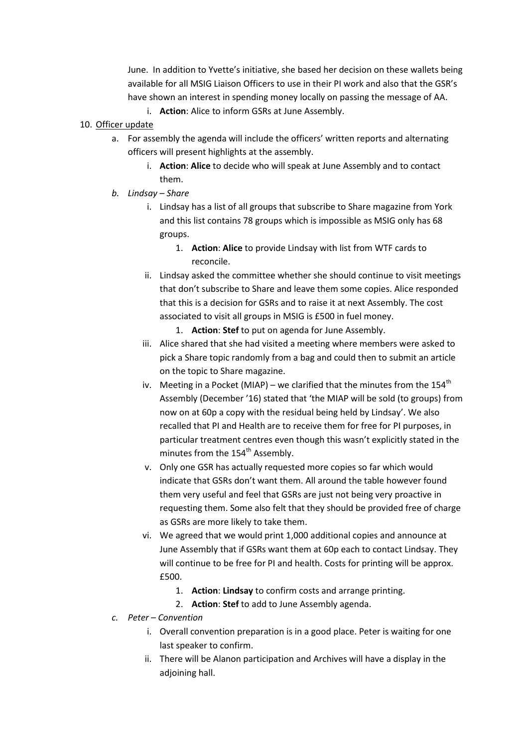June. In addition to Yvette's initiative, she based her decision on these wallets being available for all MSIG Liaison Officers to use in their PI work and also that the GSR's have shown an interest in spending money locally on passing the message of AA.

- i. **Action**: Alice to inform GSRs at June Assembly.
- 10. Officer update
	- a. For assembly the agenda will include the officers' written reports and alternating officers will present highlights at the assembly.
		- i. **Action**: **Alice** to decide who will speak at June Assembly and to contact them.
	- *b. Lindsay Share* 
		- i. Lindsay has a list of all groups that subscribe to Share magazine from York and this list contains 78 groups which is impossible as MSIG only has 68 groups.
			- 1. **Action**: **Alice** to provide Lindsay with list from WTF cards to reconcile.
		- ii. Lindsay asked the committee whether she should continue to visit meetings that don't subscribe to Share and leave them some copies. Alice responded that this is a decision for GSRs and to raise it at next Assembly. The cost associated to visit all groups in MSIG is £500 in fuel money.
			- 1. **Action**: **Stef** to put on agenda for June Assembly.
		- iii. Alice shared that she had visited a meeting where members were asked to pick a Share topic randomly from a bag and could then to submit an article on the topic to Share magazine.
		- iv. Meeting in a Pocket (MIAP) we clarified that the minutes from the 154<sup>th</sup> Assembly (December '16) stated that 'the MIAP will be sold (to groups) from now on at 60p a copy with the residual being held by Lindsay'. We also recalled that PI and Health are to receive them for free for PI purposes, in particular treatment centres even though this wasn't explicitly stated in the minutes from the 154<sup>th</sup> Assembly.
		- v. Only one GSR has actually requested more copies so far which would indicate that GSRs don't want them. All around the table however found them very useful and feel that GSRs are just not being very proactive in requesting them. Some also felt that they should be provided free of charge as GSRs are more likely to take them.
		- vi. We agreed that we would print 1,000 additional copies and announce at June Assembly that if GSRs want them at 60p each to contact Lindsay. They will continue to be free for PI and health. Costs for printing will be approx. £500.
			- 1. **Action**: **Lindsay** to confirm costs and arrange printing.
			- 2. **Action**: **Stef** to add to June Assembly agenda.
	- *c. Peter Convention* 
		- i. Overall convention preparation is in a good place. Peter is waiting for one last speaker to confirm.
		- ii. There will be Alanon participation and Archives will have a display in the adjoining hall.